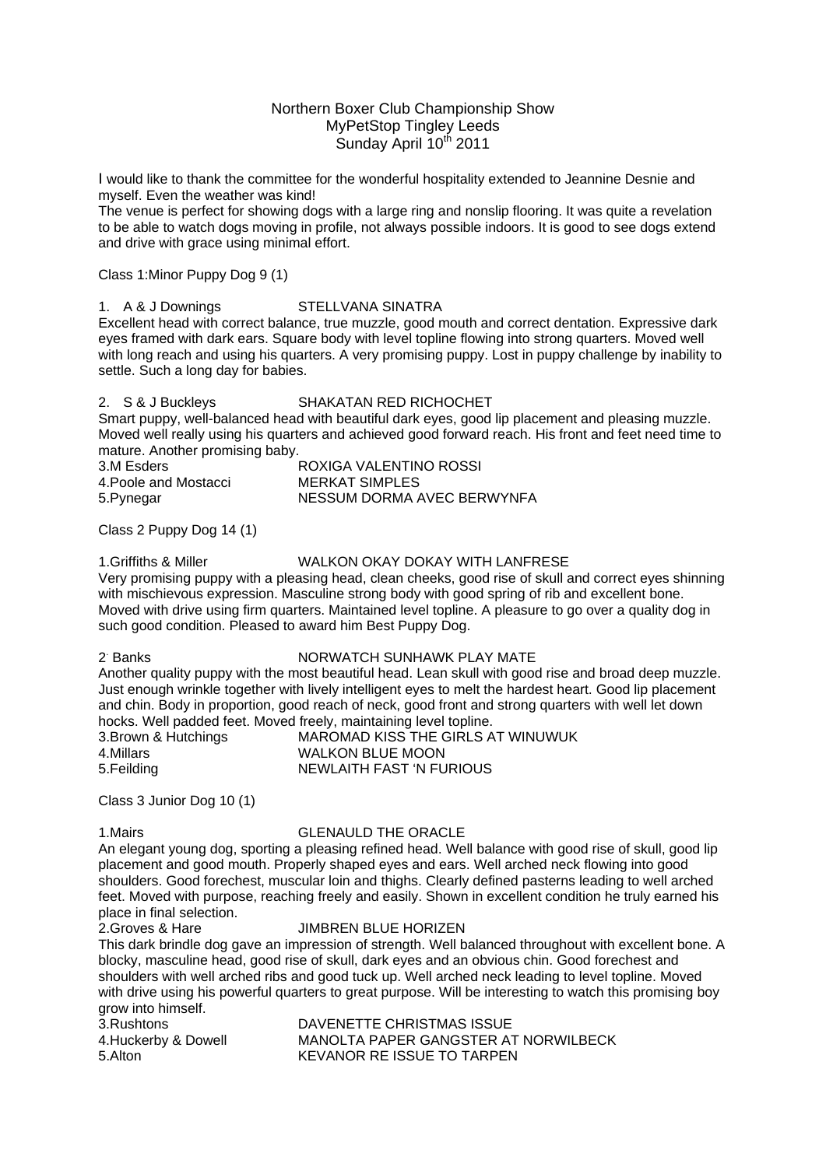# Northern Boxer Club Championship Show MyPetStop Tingley Leeds Sunday April 10<sup>th</sup> 2011

I would like to thank the committee for the wonderful hospitality extended to Jeannine Desnie and myself. Even the weather was kind!

The venue is perfect for showing dogs with a large ring and nonslip flooring. It was quite a revelation to be able to watch dogs moving in profile, not always possible indoors. It is good to see dogs extend and drive with grace using minimal effort.

Class 1:Minor Puppy Dog 9 (1)

1. A & J Downings STELLVANA SINATRA

Excellent head with correct balance, true muzzle, good mouth and correct dentation. Expressive dark eyes framed with dark ears. Square body with level topline flowing into strong quarters. Moved well with long reach and using his quarters. A very promising puppy. Lost in puppy challenge by inability to settle. Such a long day for babies.

### 2. S & J Buckleys SHAKATAN RED RICHOCHET

Smart puppy, well-balanced head with beautiful dark eyes, good lip placement and pleasing muzzle. Moved well really using his quarters and achieved good forward reach. His front and feet need time to mature. Another promising baby.

| 3.M Esders            | ROXIGA VALENTINO ROSSI     |
|-----------------------|----------------------------|
| 4. Poole and Mostacci | MERKAT SIMPLES             |
| 5. Pynegar            | NESSUM DORMA AVEC BERWYNFA |

Class 2 Puppy Dog 14 (1)

## 1.Griffiths & Miller WALKON OKAY DOKAY WITH LANFRESE

Very promising puppy with a pleasing head, clean cheeks, good rise of skull and correct eyes shinning with mischievous expression. Masculine strong body with good spring of rib and excellent bone. Moved with drive using firm quarters. Maintained level topline. A pleasure to go over a quality dog in such good condition. Pleased to award him Best Puppy Dog.

2<sup>-</sup> Banks

### NORWATCH SUNHAWK PLAY MATE

Another quality puppy with the most beautiful head. Lean skull with good rise and broad deep muzzle. Just enough wrinkle together with lively intelligent eyes to melt the hardest heart. Good lip placement and chin. Body in proportion, good reach of neck, good front and strong quarters with well let down hocks. Well padded feet. Moved freely, maintaining level topline.

|                      | <u>11001101 Then padaea 10011 Motod Hoofft Mannahmig 10101 (opinio)</u> |
|----------------------|-------------------------------------------------------------------------|
| 3. Brown & Hutchings | MAROMAD KISS THE GIRLS AT WINUWUK                                       |
| 4.Millars            | <b>WALKON BLUE MOON</b>                                                 |
| 5. Feilding          | NEWLAITH FAST 'N FURIOUS                                                |

Class 3 Junior Dog 10 (1)

# 1.Mairs GLENAULD THE ORACLE

An elegant young dog, sporting a pleasing refined head. Well balance with good rise of skull, good lip placement and good mouth. Properly shaped eyes and ears. Well arched neck flowing into good shoulders. Good forechest, muscular loin and thighs. Clearly defined pasterns leading to well arched feet. Moved with purpose, reaching freely and easily. Shown in excellent condition he truly earned his place in final selection.

## 2.Groves & Hare JIMBREN BLUE HORIZEN

This dark brindle dog gave an impression of strength. Well balanced throughout with excellent bone. A blocky, masculine head, good rise of skull, dark eyes and an obvious chin. Good forechest and shoulders with well arched ribs and good tuck up. Well arched neck leading to level topline. Moved with drive using his powerful quarters to great purpose. Will be interesting to watch this promising boy grow into himself.

| 3.Rushtons          | DAVENETT       |
|---------------------|----------------|
| 4.Huckerby & Dowell | <b>MANOLTA</b> |
| 5.Alton             | <b>KEVANOR</b> |

*DAVENETTE CHRISTMAS ISSUE* PAPER GANGSTER AT NORWILBECK RE ISSUE TO TARPEN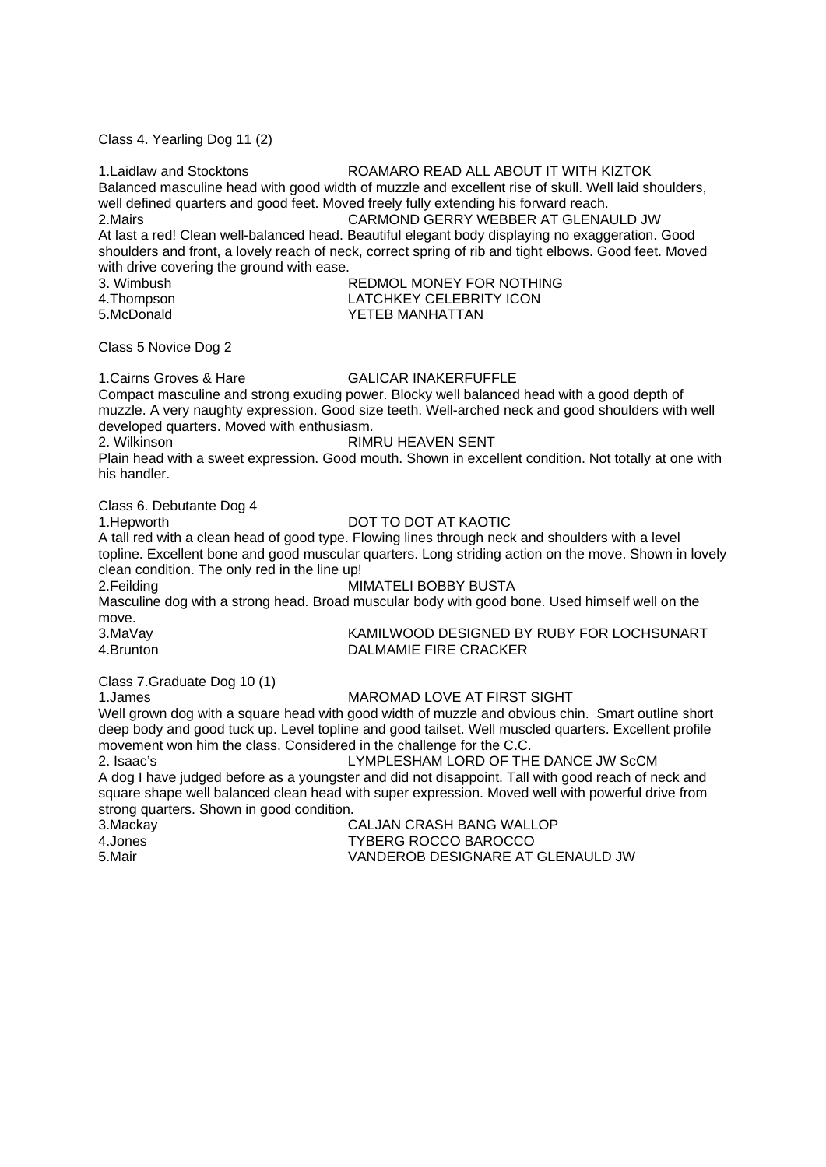Class 4. Yearling Dog 11 (2)

| 1. Laidlaw and Stocktons<br>2.Mairs<br>with drive covering the ground with ease.                                                                                           | ROAMARO READ ALL ABOUT IT WITH KIZTOK<br>Balanced masculine head with good width of muzzle and excellent rise of skull. Well laid shoulders,<br>well defined quarters and good feet. Moved freely fully extending his forward reach.<br>CARMOND GERRY WEBBER AT GLENAULD JW<br>At last a red! Clean well-balanced head. Beautiful elegant body displaying no exaggeration. Good<br>shoulders and front, a lovely reach of neck, correct spring of rib and tight elbows. Good feet. Moved   |
|----------------------------------------------------------------------------------------------------------------------------------------------------------------------------|--------------------------------------------------------------------------------------------------------------------------------------------------------------------------------------------------------------------------------------------------------------------------------------------------------------------------------------------------------------------------------------------------------------------------------------------------------------------------------------------|
| 3. Wimbush                                                                                                                                                                 | REDMOL MONEY FOR NOTHING                                                                                                                                                                                                                                                                                                                                                                                                                                                                   |
| 4. Thompson<br>5.McDonald                                                                                                                                                  | <b>LATCHKEY CELEBRITY ICON</b><br>YETEB MANHATTAN                                                                                                                                                                                                                                                                                                                                                                                                                                          |
| Class 5 Novice Dog 2                                                                                                                                                       |                                                                                                                                                                                                                                                                                                                                                                                                                                                                                            |
| 1. Cairns Groves & Hare<br>developed quarters. Moved with enthusiasm.<br>2. Wilkinson<br>his handler.                                                                      | <b>GALICAR INAKERFUFFLE</b><br>Compact masculine and strong exuding power. Blocky well balanced head with a good depth of<br>muzzle. A very naughty expression. Good size teeth. Well-arched neck and good shoulders with well<br><b>RIMRU HEAVEN SENT</b><br>Plain head with a sweet expression. Good mouth. Shown in excellent condition. Not totally at one with                                                                                                                        |
| Class 6. Debutante Dog 4<br>1.Hepworth<br>clean condition. The only red in the line up!<br>2.Feilding<br>move.<br>3.MaVay<br>4.Brunton                                     | DOT TO DOT AT KAOTIC<br>A tall red with a clean head of good type. Flowing lines through neck and shoulders with a level<br>topline. Excellent bone and good muscular quarters. Long striding action on the move. Shown in lovely<br>MIMATELI BOBBY BUSTA<br>Masculine dog with a strong head. Broad muscular body with good bone. Used himself well on the<br>KAMILWOOD DESIGNED BY RUBY FOR LOCHSUNART<br><b>DALMAMIE FIRE CRACKER</b>                                                   |
| Class 7. Graduate Dog 10 (1)<br>1.James<br>movement won him the class. Considered in the challenge for the C.C.<br>2. Isaac's<br>strong quarters. Shown in good condition. | MAROMAD LOVE AT FIRST SIGHT<br>Well grown dog with a square head with good width of muzzle and obvious chin. Smart outline short<br>deep body and good tuck up. Level topline and good tailset. Well muscled quarters. Excellent profile<br>LYMPLESHAM LORD OF THE DANCE JW ScCM<br>A dog I have judged before as a youngster and did not disappoint. Tall with good reach of neck and<br>square shape well balanced clean head with super expression. Moved well with powerful drive from |
| 3 Mackaw                                                                                                                                                                   | CALIAN CRASH RANG WALLOP                                                                                                                                                                                                                                                                                                                                                                                                                                                                   |

3.Mackay CALJAN CRASH BANG WALLOF<br>4.Jones TYBERG ROCCO BAROCCO 4.Jones TYBERG ROCCO BAROCCO VANDEROB DESIGNARE AT GLENAULD JW